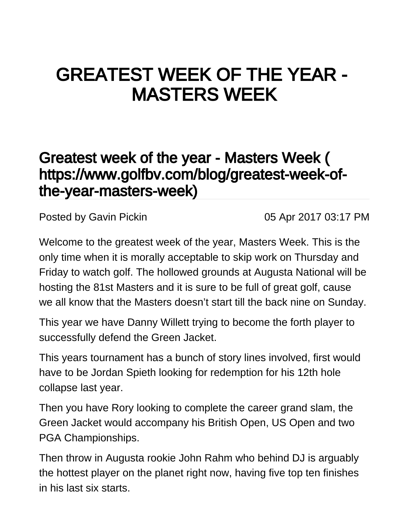## GREATEST WEEK OF THE YEAR - MASTERS WEEK

## [Greatest week of the year - Masters Week \(](https://www.golfbv.com/blog/greatest-week-of-the-year-masters-week) [https://www.golfbv.com/blog/greatest-week-of](https://www.golfbv.com/blog/greatest-week-of-the-year-masters-week)[the-year-masters-week\)](https://www.golfbv.com/blog/greatest-week-of-the-year-masters-week)

Posted by [Gavin Pickin](#) 2017 03:17 PM

Welcome to the greatest week of the year, Masters Week. This is the only time when it is morally acceptable to skip work on Thursday and Friday to watch golf. The hollowed grounds at Augusta National will be hosting the 81st Masters and it is sure to be full of great golf, cause we all know that the Masters doesn't start till the back nine on Sunday.

This year we have Danny Willett trying to become the forth player to successfully defend the Green Jacket.

This years tournament has a bunch of story lines involved, first would have to be Jordan Spieth looking for redemption for his 12th hole collapse last year.

Then you have Rory looking to complete the career grand slam, the Green Jacket would accompany his British Open, US Open and two PGA Championships.

Then throw in Augusta rookie John Rahm who behind DJ is arguably the hottest player on the planet right now, having five top ten finishes in his last six starts.